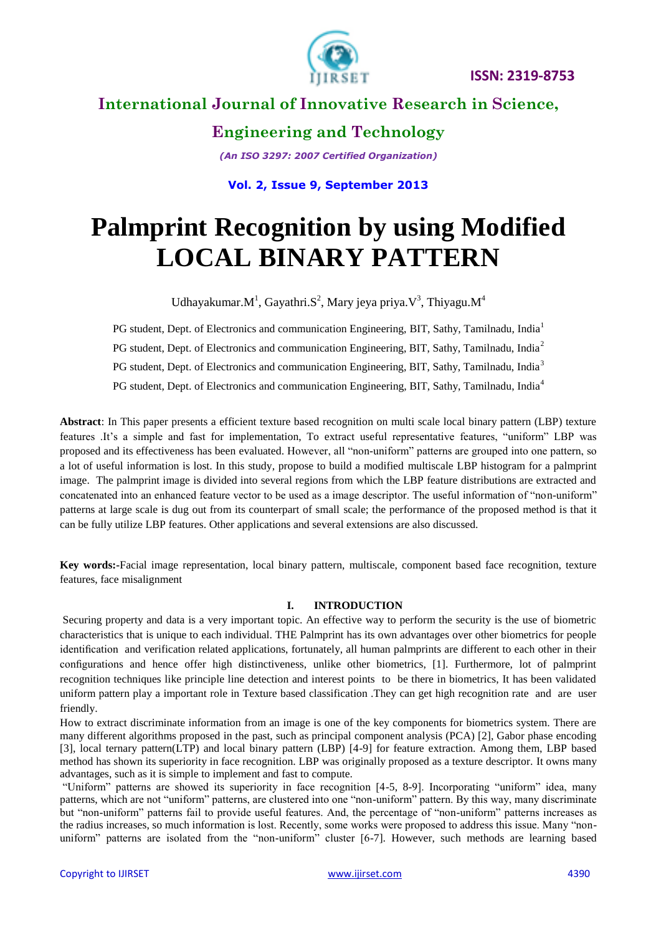



# **International Journal of Innovative Research in Science,**

**Engineering and Technology**

*(An ISO 3297: 2007 Certified Organization)*

**Vol. 2, Issue 9, September 2013**

# **Palmprint Recognition by using Modified LOCAL BINARY PATTERN**

Udhayakumar. $M<sup>1</sup>$ , Gayathri.S<sup>2</sup>, Mary jeya priya. $V<sup>3</sup>$ , Thiyagu. $M<sup>4</sup>$ 

PG student, Dept. of Electronics and communication Engineering, BIT, Sathy, Tamilnadu, India<sup>1</sup>

PG student, Dept. of Electronics and communication Engineering, BIT, Sathy, Tamilnadu, India<sup>2</sup>

PG student, Dept. of Electronics and communication Engineering, BIT, Sathy, Tamilnadu, India<sup>3</sup>

PG student, Dept. of Electronics and communication Engineering, BIT, Sathy, Tamilnadu, India<sup>4</sup>

**Abstract**: In This paper presents a efficient texture based recognition on multi scale local binary pattern (LBP) texture features .It's a simple and fast for implementation, To extract useful representative features, "uniform" LBP was proposed and its effectiveness has been evaluated. However, all "non-uniform" patterns are grouped into one pattern, so a lot of useful information is lost. In this study, propose to build a modified multiscale LBP histogram for a palmprint image. The palmprint image is divided into several regions from which the LBP feature distributions are extracted and concatenated into an enhanced feature vector to be used as a image descriptor. The useful information of "non-uniform" patterns at large scale is dug out from its counterpart of small scale; the performance of the proposed method is that it can be fully utilize LBP features. Other applications and several extensions are also discussed.

**Key words:-**Facial image representation, local binary pattern, multiscale, component based face recognition, texture features, face misalignment

#### **I. INTRODUCTION**

Securing property and data is a very important topic. An effective way to perform the security is the use of biometric characteristics that is unique to each individual. THE Palmprint has its own advantages over other biometrics for people identification and verification related applications, fortunately, all human palmprints are different to each other in their configurations and hence offer high distinctiveness, unlike other biometrics, [1]. Furthermore, lot of palmprint recognition techniques like principle line detection and interest points to be there in biometrics, It has been validated uniform pattern play a important role in Texture based classification .They can get high recognition rate and are user friendly.

How to extract discriminate information from an image is one of the key components for biometrics system. There are many different algorithms proposed in the past, such as principal component analysis (PCA) [2], Gabor phase encoding [3], local ternary pattern(LTP) and local binary pattern (LBP) [4-9] for feature extraction. Among them, LBP based method has shown its superiority in face recognition. LBP was originally proposed as a texture descriptor. It owns many advantages, such as it is simple to implement and fast to compute.

"Uniform" patterns are showed its superiority in face recognition [4-5, 8-9]. Incorporating "uniform" idea, many patterns, which are not "uniform" patterns, are clustered into one "non-uniform" pattern. By this way, many discriminate but "non-uniform" patterns fail to provide useful features. And, the percentage of "non-uniform" patterns increases as the radius increases, so much information is lost. Recently, some works were proposed to address this issue. Many "nonuniform" patterns are isolated from the "non-uniform" cluster [6-7]. However, such methods are learning based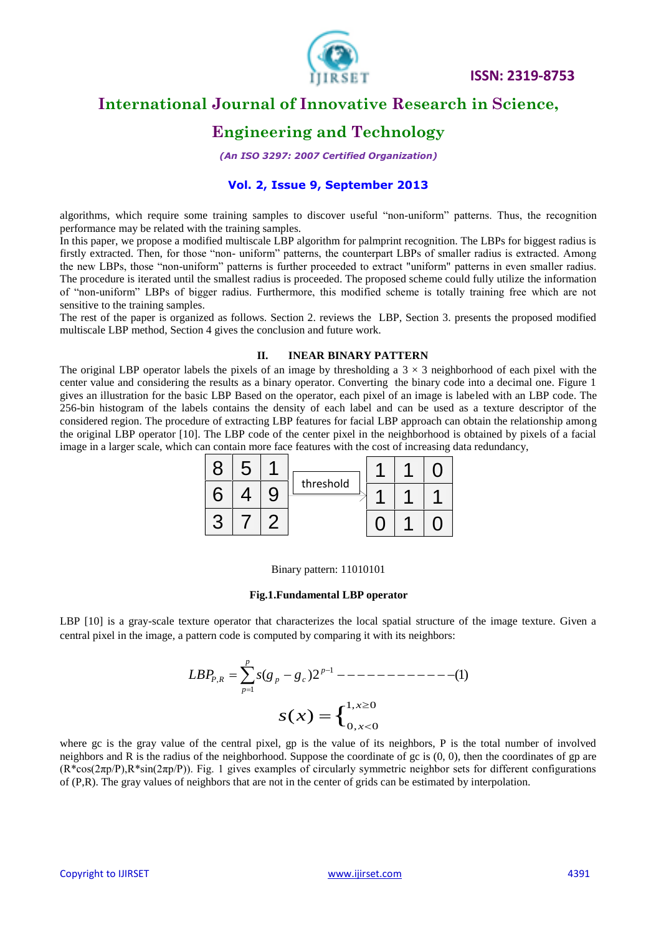

# **International Journal of Innovative Research in Science,**

### **Engineering and Technology**

*(An ISO 3297: 2007 Certified Organization)*

#### **Vol. 2, Issue 9, September 2013**

algorithms, which require some training samples to discover useful "non-uniform" patterns. Thus, the recognition performance may be related with the training samples.

In this paper, we propose a modified multiscale LBP algorithm for palmprint recognition. The LBPs for biggest radius is firstly extracted. Then, for those "non- uniform" patterns, the counterpart LBPs of smaller radius is extracted. Among the new LBPs, those "non-uniform" patterns is further proceeded to extract "uniform" patterns in even smaller radius. The procedure is iterated until the smallest radius is proceeded. The proposed scheme could fully utilize the information of "non-uniform" LBPs of bigger radius. Furthermore, this modified scheme is totally training free which are not sensitive to the training samples.

The rest of the paper is organized as follows. Section 2. reviews the LBP, Section 3. presents the proposed modified multiscale LBP method, Section 4 gives the conclusion and future work.

#### **II. INEAR BINARY PATTERN**

The original LBP operator labels the pixels of an image by thresholding a  $3 \times 3$  neighborhood of each pixel with the center value and considering the results as a binary operator. Converting the binary code into a decimal one. Figure 1 gives an illustration for the basic LBP Based on the operator, each pixel of an image is labeled with an LBP code. The 256-bin histogram of the labels contains the density of each label and can be used as a texture descriptor of the considered region. The procedure of extracting LBP features for facial LBP approach can obtain the relationship among the original LBP operator [10]. The LBP code of the center pixel in the neighborhood is obtained by pixels of a facial image in a larger scale, which can contain more face features with the cost of increasing data redundancy,



#### Binary pattern: 11010101

#### **Fig.1.Fundamental LBP operator**

LBP [10] is a gray-scale texture operator that characterizes the local spatial structure of the image texture. Given a central pixel in the image, a pattern code is computed by comparing it with its neighbors:

$$
LBP_{P,R} = \sum_{p=1}^{p} s(g_p - g_c) 2^{p-1} \text{ --- } - \text{ --- } - \text{ --- } - \text{ --- } - \text{ --- } - \text{ --- } - \text{ --- } - \text{ --- } - \text{ --- } - \text{ --- } - \text{ --- } - \text{ --- } - \text{ --- } - \text{ --- } - \text{ --- } - \text{ --- } - \text{ --- } - \text{ --- } - \text{ --- } - \text{ --- } - \text{ --- } - \text{ --- } - \text{ --- } - \text{ --- } - \text{ --- } - \text{ --- } - \text{ --- } - \text{ --- } - \text{ --- } - \text{ --- } - \text{ --- } - \text{ --- } - \text{ --- } - \text{ --- } - \text{ --- } - \text{ --- } - \text{ --- } - \text{ --- } - \text{ --- } - \text{ --- } - \text{ --- } - \text{ --- } - \text{ --- } - \text{ --- } - \text{ --- } - \text{ --- } - \text{ --- } - \text{ --- } - \text{ --- } - \text{ --- } - \text{ --- } - \text{ --- } - \text{ --- } - \text{ --- } - \text{ --- } - \text{ --- } - \text{ --- } - \text{ --- } - \text{ --- } - \text{ --- } - \text{ --- } - \text{ --- } - \text{ --- } - \text{ --- } - \text{ --- } - \text{ --- } - \text{ --- } - \text{ --- } - \text{ --- } - \text{ --- } - \text{ --- } - \text{ --- } - \text{ --- } - \text{ --- } - \text{ --- } - \text{ --- } - \text{ --- } - \text{ --- } - \text{ --- } - \text{ --- } - \text{ --- } - \text{ --- } - \text{ --- } - \text{ --- } - \text{ --- } - \text{ --- } - \text{ --- } - \text{ --- } - \text{ --- } - \text{ --- } - \text{ --- } - \text{ --- } - \text{ --- } - \text{ --- } - \text{ --- } - \text{ --- } - \text{ --- } - \text{ --- } - \text{ --- } - \text{ --- } - \text{ --- } - \text{ --- } - \text{ --- } - \text{ --- } - \text{ --- } - \text{ --- } - \text{ --- } - \text{ --- } - \text{ --- } - \text{ --- } - \text{ --- } - \text{ --- } - \text{ --- } - \text{ --- } - \text{ --- } - \text{ --- } - \text{ --- } - \text{ --- } - \text{ --- } - \text{ --- } - \text{ --- } - \text
$$

where gc is the gray value of the central pixel, gp is the value of its neighbors, P is the total number of involved neighbors and R is the radius of the neighborhood. Suppose the coordinate of gc is (0, 0), then the coordinates of gp are  $(R*cos(2\pi p/P), R*sin(2\pi p/P))$ . Fig. 1 gives examples of circularly symmetric neighbor sets for different configurations of (P,R). The gray values of neighbors that are not in the center of grids can be estimated by interpolation.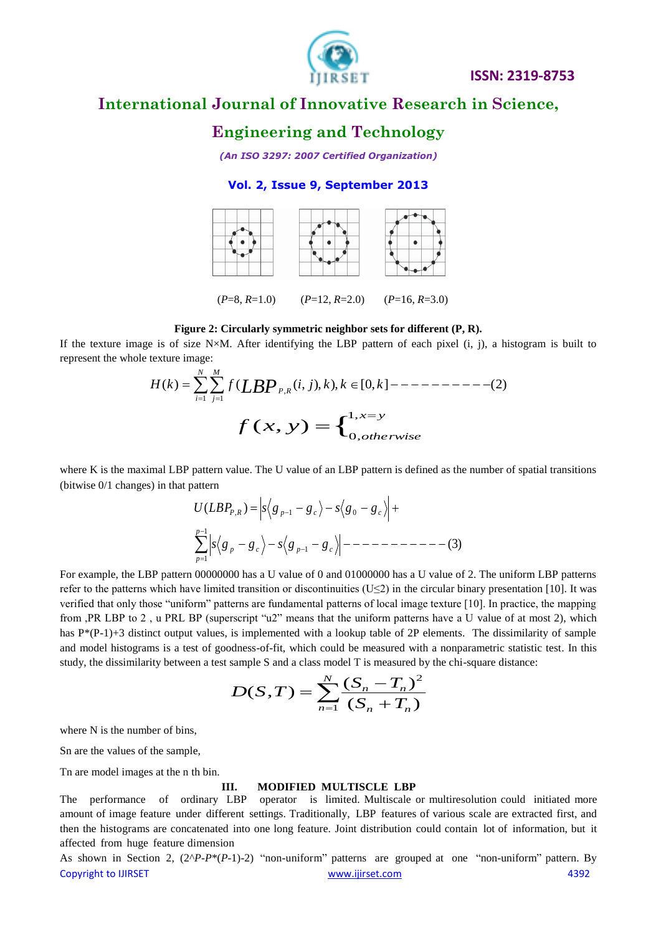

# **International Journal of Innovative Research in Science,**

### **Engineering and Technology**

*(An ISO 3297: 2007 Certified Organization)*

### **Vol. 2, Issue 9, September 2013**



#### **Figure 2: Circularly symmetric neighbor sets for different (P, R).**

If the texture image is of size  $N\times M$ . After identifying the LBP pattern of each pixel (i, j), a histogram is built to represent the whole texture image:

( ) ( ( , ), ), [0, ] (2) 1 1 , *N i M j P R <sup>H</sup> <sup>k</sup> <sup>f</sup> LBP <sup>i</sup> <sup>j</sup> <sup>k</sup> <sup>k</sup> <sup>k</sup>* { 1, 0, ( , ) *x y otherwise f x y* 

where K is the maximal LBP pattern value. The U value of an LBP pattern is defined as the number of spatial transitions (bitwise 0/1 changes) in that pattern

(3) ( ) 1 1 1 , 1 0 *p p p c p c P R p c c s g g s g g U LBP s g g s g g*

For example, the LBP pattern 00000000 has a U value of 0 and 01000000 has a U value of 2. The uniform LBP patterns refer to the patterns which have limited transition or discontinuities  $(U \le 2)$  in the circular binary presentation [10]. It was verified that only those "uniform" patterns are fundamental patterns of local image texture [10]. In practice, the mapping from ,PR LBP to 2 , u PRL BP (superscript "u2" means that the uniform patterns have a U value of at most 2), which has P\*(P-1)+3 distinct output values, is implemented with a lookup table of 2P elements. The dissimilarity of sample and model histograms is a test of goodness-of-fit, which could be measured with a nonparametric statistic test. In this study, the dissimilarity between a test sample S and a class model T is measured by the chi-square distance:

$$
D(S,T) = \sum_{n=1}^{N} \frac{(S_n - T_n)^2}{(S_n + T_n)}
$$

where N is the number of bins.

Sn are the values of the sample,

Tn are model images at the n th bin.

#### **III. MODIFIED MULTISCLE LBP**

The performance of ordinary LBP operator is limited. Multiscale or multiresolution could initiated more amount of image feature under different settings. Traditionally, LBP features of various scale are extracted first, and then the histograms are concatenated into one long feature. Joint distribution could contain lot of information, but it affected from huge feature dimension

Copyright to IJIRSET [www.ijirset.com](http://www.ijirset.com/) 4392 As shown in Section 2, (2^*P-P*\*(*P*-1)-2) "non-uniform" patterns are grouped at one "non-uniform" pattern. By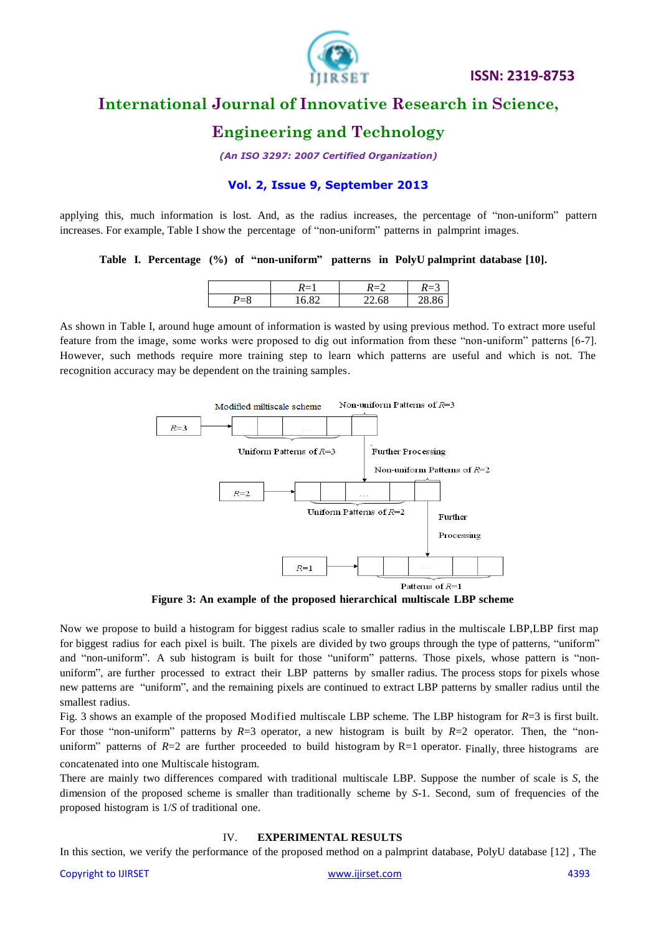

# **International Journal of Innovative Research in Science,**

### **Engineering and Technology**

*(An ISO 3297: 2007 Certified Organization)*

#### **Vol. 2, Issue 9, September 2013**

applying this, much information is lost. And, as the radius increases, the percentage of "non-uniform" pattern increases. For example, Table I show the percentage of "non-uniform" patterns in palmprint images.

**Table I. Percentage (%) of "non-uniform" patterns in PolyU palmprint database [10].**

| $\sim$ | $\sim$<br>$\epsilon$ |  |
|--------|----------------------|--|

As shown in Table I, around huge amount of information is wasted by using previous method. To extract more useful feature from the image, some works were proposed to dig out information from these "non-uniform" patterns [6-7]. However, such methods require more training step to learn which patterns are useful and which is not. The recognition accuracy may be dependent on the training samples.



**Figure 3: An example of the proposed hierarchical multiscale LBP scheme**

Now we propose to build a histogram for biggest radius scale to smaller radius in the multiscale LBP,LBP first map for biggest radius for each pixel is built. The pixels are divided by two groups through the type of patterns, "uniform" and "non-uniform". A sub histogram is built for those "uniform" patterns. Those pixels, whose pattern is "nonuniform", are further processed to extract their LBP patterns by smaller radius. The process stops for pixels whose new patterns are "uniform", and the remaining pixels are continued to extract LBP patterns by smaller radius until the smallest radius.

Fig. 3 shows an example of the proposed Modified multiscale LBP scheme. The LBP histogram for *R*=3 is first built. For those "non-uniform" patterns by  $R=3$  operator, a new histogram is built by  $R=2$  operator. Then, the "nonuniform" patterns of  $R=2$  are further proceeded to build histogram by  $R=1$  operator. Finally, three histograms are concatenated into one Multiscale histogram.

There are mainly two differences compared with traditional multiscale LBP. Suppose the number of scale is *S*, the dimension of the proposed scheme is smaller than traditionally scheme by *S*-1. Second, sum of frequencies of the proposed histogram is 1/*S* of traditional one.

#### IV. **EXPERIMENTAL RESULTS**

In this section, we verify the performance of the proposed method on a palmprint database, PolyU database [12] , The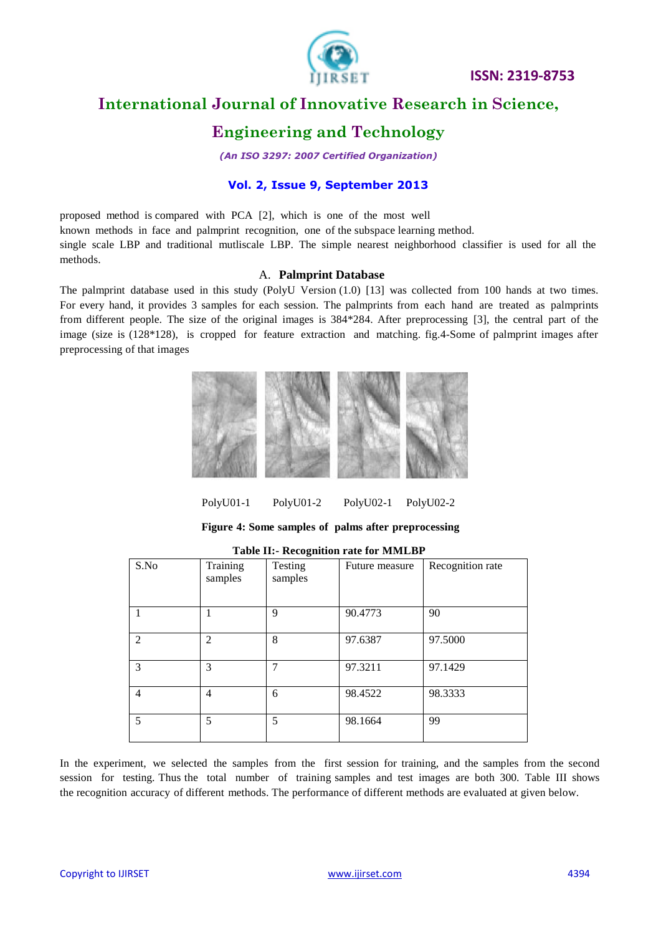

# **International Journal of Innovative Research in Science,**

### **Engineering and Technology**

*(An ISO 3297: 2007 Certified Organization)*

### **Vol. 2, Issue 9, September 2013**

proposed method is compared with PCA [2], which is one of the most well known methods in face and palmprint recognition, one of the subspace learning method. single scale LBP and traditional mutliscale LBP. The simple nearest neighborhood classifier is used for all the methods.

#### A. **Palmprint Database**

The palmprint database used in this study (PolyU Version (1.0) [13] was collected from 100 hands at two times. For every hand, it provides 3 samples for each session. The palmprints from each hand are treated as palmprints from different people. The size of the original images is 384\*284. After preprocessing [3], the central part of the image (size is (128\*128), is cropped for feature extraction and matching. fig.4-Some of palmprint images after preprocessing of that images



PolyU01-1 PolyU01-2 PolyU02-1 PolyU02-2

**Figure 4: Some samples of palms after preprocessing**

| S.No | Training<br>samples | Testing<br>samples | Future measure | Recognition rate |
|------|---------------------|--------------------|----------------|------------------|
|      |                     | $\mathbf Q$        | 90.4773        | 90               |
| 2    | $\overline{2}$      | 8                  | 97.6387        | 97.5000          |
| 3    | 3                   |                    | 97.3211        | 97.1429          |
| 4    | 4                   | 6                  | 98.4522        | 98.3333          |
| 5    | 5                   | 5                  | 98.1664        | 99               |

**Table II:- Recognition rate for MMLBP**

In the experiment, we selected the samples from the first session for training, and the samples from the second session for testing. Thus the total number of training samples and test images are both 300. Table III shows the recognition accuracy of different methods. The performance of different methods are evaluated at given below.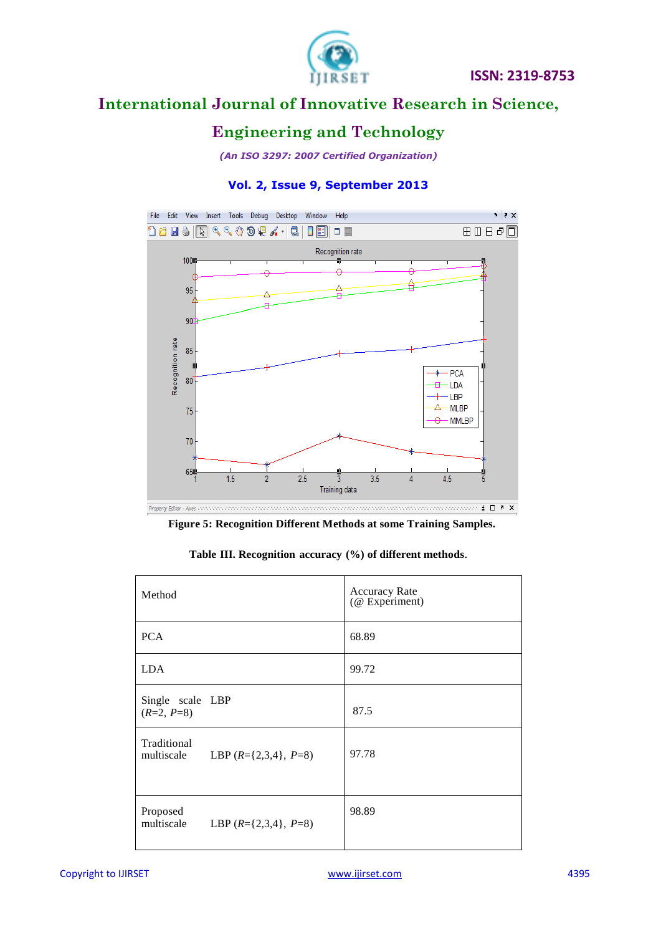

# **International Journal of Innovative Research in Science,**

## **Engineering and Technology**

*(An ISO 3297: 2007 Certified Organization)*

### **Vol. 2, Issue 9, September 2013**



**Figure 5: Recognition Different Methods at some Training Samples.**

|  |  |  |  | Table III. Recognition accuracy (%) of different methods. |
|--|--|--|--|-----------------------------------------------------------|
|--|--|--|--|-----------------------------------------------------------|

| Method                                                 | <b>Accuracy Rate</b><br>(@ Experiment) |
|--------------------------------------------------------|----------------------------------------|
| <b>PCA</b>                                             | 68.89                                  |
| <b>LDA</b>                                             | 99.72                                  |
| Single scale LBP<br>$(R=2, P=8)$                       | 87.5                                   |
| Traditional<br>multiscale<br>LBP $(R=\{2,3,4\}, P=8)$  | 97.78                                  |
| Proposed<br>multiscale<br>LBP $(R = \{2,3,4\}, P = 8)$ | 98.89                                  |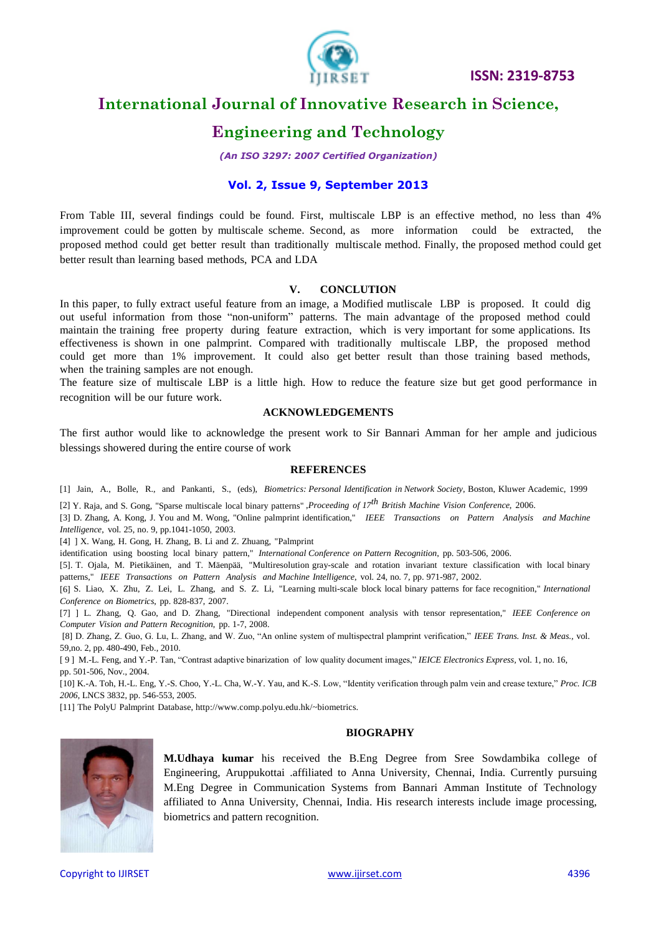

# **International Journal of Innovative Research in Science,**

### **Engineering and Technology**

*(An ISO 3297: 2007 Certified Organization)*

#### **Vol. 2, Issue 9, September 2013**

From Table III, several findings could be found. First, multiscale LBP is an effective method, no less than 4% improvement could be gotten by multiscale scheme. Second, as more information could be extracted, proposed method could get better result than traditionally multiscale method. Finally, the proposed method could get better result than learning based methods, PCA and LDA

#### **V. CONCLUTION**

In this paper, to fully extract useful feature from an image, a Modified mutliscale LBP is proposed. It could dig out useful information from those "non-uniform" patterns. The main advantage of the proposed method could maintain the training free property during feature extraction, which is very important for some applications. Its effectiveness is shown in one palmprint. Compared with traditionally multiscale LBP, the proposed method could get more than 1% improvement. It could also get better result than those training based methods, when the training samples are not enough.

The feature size of multiscale LBP is a little high. How to reduce the feature size but get good performance in recognition will be our future work.

#### **ACKNOWLEDGEMENTS**

The first author would like to acknowledge the present work to Sir Bannari Amman for her ample and judicious blessings showered during the entire course of work

#### **REFERENCES**

[1] Jain, A., Bolle, R., and Pankanti, S., (eds), *Biometrics: Personal Identification in Network Society*, Boston, Kluwer Academic, 1999

[2] Y. Raja, and S. Gong, "Sparse multiscale local binary patterns" ,*Proceeding of 17 th British Machine Vision Conference*, 2006.

[3] D. Zhang, A. Kong, J. You and M. Wong, "Online palmprint identification," *IEEE Transactions on Pattern Analysis and Machine Intelligence*, vol. 25, no. 9, pp.1041-1050, 2003.

[4] ] X. Wang, H. Gong, H. Zhang, B. Li and Z. Zhuang, "Palmprint

identification using boosting local binary pattern," *International Conference on Pattern Recognition*, pp. 503-506, 2006.

[5]. T. Ojala, M. Pietikäinen, and T. Mäenpää, "Multiresolution gray-scale and rotation invariant texture classification with local binary patterns," *IEEE Transactions on Pattern Analysis and Machine Intelligence*, vol. 24, no. 7, pp. 971-987, 2002.

[6] S. Liao, X. Zhu, Z. Lei, L. Zhang, and S. Z. Li, "Learning multi-scale block local binary patterns for face recognition," *International Conference on Biometrics*, pp. 828-837, 2007.

[7] ] L. Zhang, Q. Gao, and D. Zhang, "Directional independent component analysis with tensor representation," *IEEE Conference on Computer Vision and Pattern Recognition*, pp. 1-7, 2008.

[8] D. Zhang, Z. Guo, G. Lu, L. Zhang, and W. Zuo, "An online system of multispectral plamprint verification," *IEEE Trans. Inst. & Meas.,* vol. 59,no. 2, pp. 480-490, Feb., 2010.

[ 9 ] M.-L. Feng, and Y.-P. Tan, "Contrast adaptive binarization of low quality document images," *IEICE Electronics Express,* vol. 1, no. 16, pp. 501-506, Nov., 2004.

[10] K.-A. Toh, H.-L. Eng, Y.-S. Choo, Y.-L. Cha, W.-Y. Yau, and K.-S. Low, "Identity verification through palm vein and crease texture," *Proc. ICB 2006*, LNCS 3832, pp. 546-553, 2005.

[11] The PolyU Palmprint Database[, http://www.comp.polyu.edu.hk/~biometrics.](http://www.comp.polyu.edu.hk/~biometrics)

#### **BIOGRAPHY**



**M.Udhaya kumar** his received the B.Eng Degree from Sree Sowdambika college of Engineering, Aruppukottai .affiliated to Anna University, Chennai, India. Currently pursuing M.Eng Degree in Communication Systems from Bannari Amman Institute of Technology affiliated to Anna University, Chennai, India. His research interests include image processing, biometrics and pattern recognition.